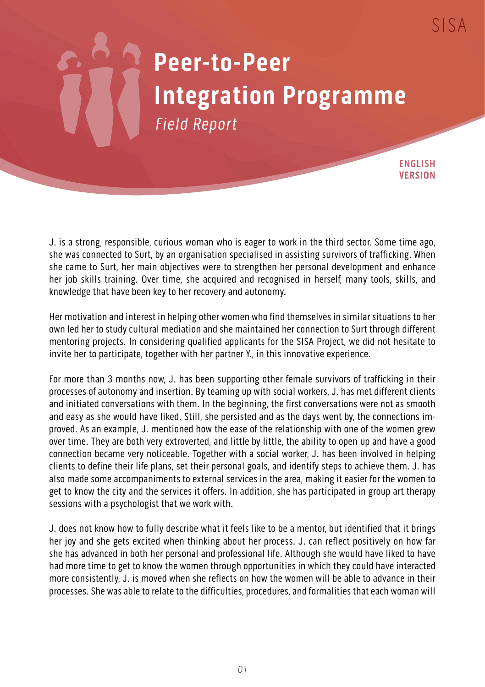## **Peer-to-Peer Integration Programme** Field Report

**ENGLISH VERSION**

J. is a strong, responsible, curious woman who is eager to work in the third sector. Some time ago, she was connected to Surt, by an organisation specialised in assisting survivors of trafficking. When she came to Surt, her main objectives were to strengthen her personal development and enhance her job skills training. Over time, she acquired and recognised in herself, many tools, skills, and knowledge that have been key to her recovery and autonomy.

Her motivation and interest in helping other women who find themselves in similar situations to her own led her to study cultural mediation and she maintained her connection to Surt through different mentoring projects. In considering qualified applicants for the SISA Project, we did not hesitate to invite her to participate, together with her partner Y., in this innovative experience.

For more than 3 months now, J. has been supporting other female survivors of trafficking in their processes of autonomy and insertion. By teaming up with social workers, J. has met different clients and initiated conversations with them. In the beginning, the first conversations were not as smooth and easy as she would have liked. Still, she persisted and as the days went by, the connections improved. As an example, J. mentioned how the ease of the relationship with one of the women grew over time. They are both very extroverted, and little by little, the ability to open up and have a good connection became very noticeable. Together with a social worker, J. has been involved in helping clients to define their life plans, set their personal goals, and identify steps to achieve them. J. has also made some accompaniments to external services in the area, making it easier for the women to get to know the city and the services it offers. In addition, she has participated in group art therapy sessions with a psychologist that we work with.

J. does not know how to fully describe what it feels like to be a mentor, but identified that it brings her joy and she gets excited when thinking about her process. J. can reflect positively on how far she has advanced in both her personal and professional life. Although she would have liked to have had more time to get to know the women through opportunities in which they could have interacted more consistently, J. is moved when she reflects on how the women will be able to advance in their processes. She was able to relate to the difficulties, procedures, and formalities that each woman will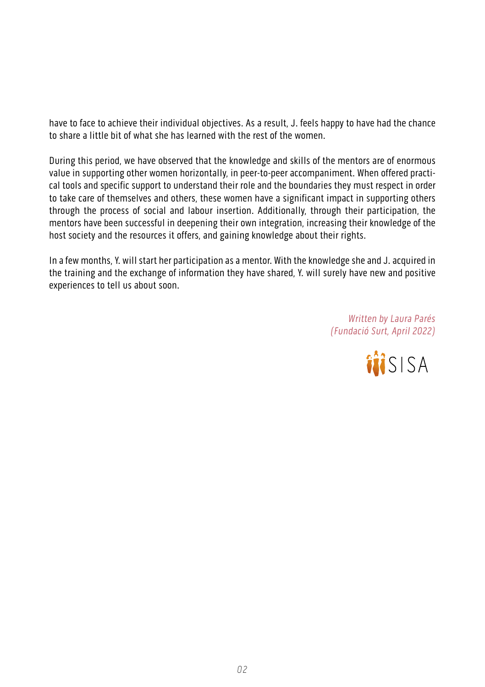have to face to achieve their individual objectives. As a result, J. feels happy to have had the chance to share a little bit of what she has learned with the rest of the women.

During this period, we have observed that the knowledge and skills of the mentors are of enormous value in supporting other women horizontally, in peer-to-peer accompaniment. When offered practical tools and specific support to understand their role and the boundaries they must respect in order to take care of themselves and others, these women have a significant impact in supporting others through the process of social and labour insertion. Additionally, through their participation, the mentors have been successful in deepening their own integration, increasing their knowledge of the host society and the resources it offers, and gaining knowledge about their rights.

In a few months, Y. will start her participation as a mentor. With the knowledge she and J. acquired in the training and the exchange of information they have shared, Y. will surely have new and positive experiences to tell us about soon.

> Written by Laura Parés (Fundació Surt, April 2022)

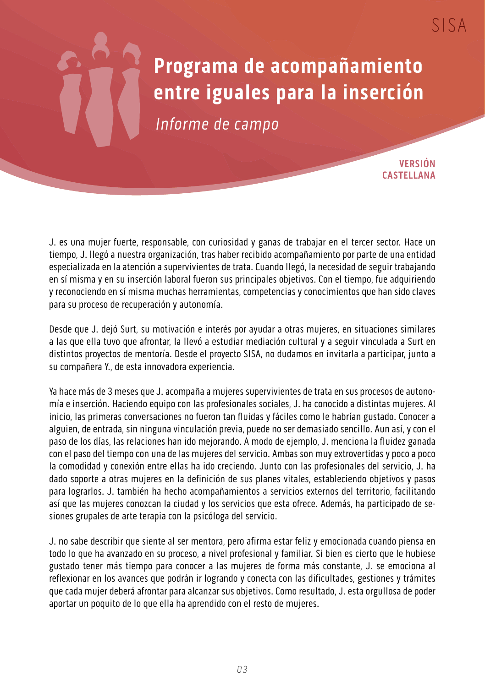## **Programa de acompañamiento entre iguales para la inserción**

Informe de campo

**VERSIÓN CASTELLANA**

J. es una mujer fuerte, responsable, con curiosidad y ganas de trabajar en el tercer sector. Hace un tiempo, J. llegó a nuestra organización, tras haber recibido acompañamiento por parte de una entidad especializada en la atención a supervivientes de trata. Cuando llegó, la necesidad de seguir trabajando en sí misma y en su inserción laboral fueron sus principales objetivos. Con el tiempo, fue adquiriendo y reconociendo en sí misma muchas herramientas, competencias y conocimientos que han sido claves para su proceso de recuperación y autonomía.

Desde que J. dejó Surt, su motivación e interés por ayudar a otras mujeres, en situaciones similares a las que ella tuvo que afrontar, la llevó a estudiar mediación cultural y a seguir vinculada a Surt en distintos proyectos de mentoría. Desde el proyecto SISA, no dudamos en invitarla a participar, junto a su compañera Y., de esta innovadora experiencia.

Ya hace más de 3 meses que J. acompaña a mujeres supervivientes de trata en sus procesos de autonomía e inserción. Haciendo equipo con las profesionales sociales, J. ha conocido a distintas mujeres. Al inicio, las primeras conversaciones no fueron tan fluidas y fáciles como le habrían gustado. Conocer a alguien, de entrada, sin ninguna vinculación previa, puede no ser demasiado sencillo. Aun así, y con el paso de los días, las relaciones han ido mejorando. A modo de ejemplo, J. menciona la fluidez ganada con el paso del tiempo con una de las mujeres del servicio. Ambas son muy extrovertidas y poco a poco la comodidad y conexión entre ellas ha ido creciendo. Junto con las profesionales del servicio, J. ha dado soporte a otras mujeres en la definición de sus planes vitales, estableciendo objetivos y pasos para lograrlos. J. también ha hecho acompañamientos a servicios externos del territorio, facilitando así que las mujeres conozcan la ciudad y los servicios que esta ofrece. Además, ha participado de sesiones grupales de arte terapia con la psicóloga del servicio.

J. no sabe describir que siente al ser mentora, pero afirma estar feliz y emocionada cuando piensa en todo lo que ha avanzado en su proceso, a nivel profesional y familiar. Si bien es cierto que le hubiese gustado tener más tiempo para conocer a las mujeres de forma más constante, J. se emociona al reflexionar en los avances que podrán ir logrando y conecta con las dificultades, gestiones y trámites que cada mujer deberá afrontar para alcanzar sus objetivos. Como resultado, J. esta orgullosa de poder aportar un poquito de lo que ella ha aprendido con el resto de mujeres.